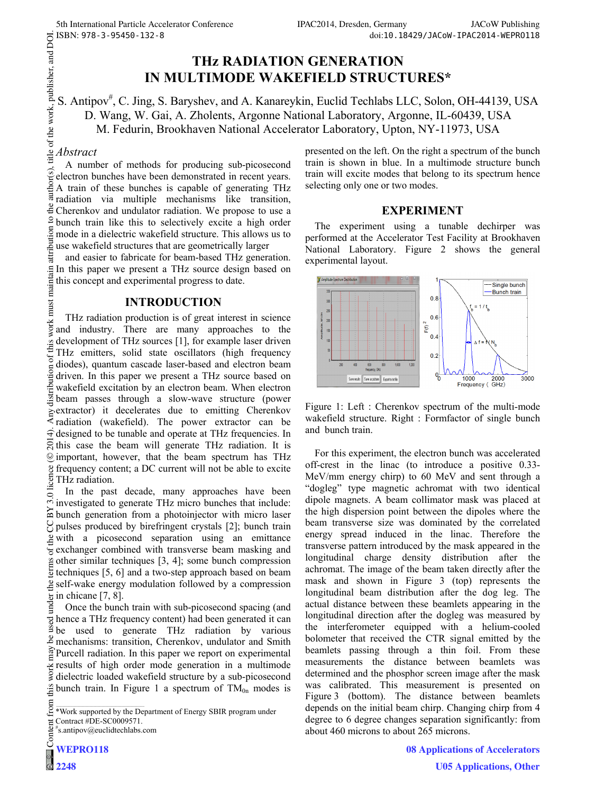# **THz RADIATION GENERATION IN MULTIMODE WAKEFIELD STRUCTURES\***

## S. Antipov<sup>#</sup>, C. Jing, S. Baryshev, and A. Kanareykin, Euclid Techlabs LLC, Solon, OH-44139, USA D. Wang, W. Gai, A. Zholents, Argonne National Laboratory, Argonne, IL-60439, USA M. Fedurin, Brookhaven National Accelerator Laboratory, Upton, NY-11973, USA

*Abstract*<br>A number of methods for producing sub-picosecond A number of methods for producing sub-picosecond electron bunches have been demonstrated in recent years. A train of these bunches is capable of generating THz radiation via multiple mechanisms like transition, Cherenkov and undulator radiation. We propose to use a bunch train like this to selectively excite a high order mode in a dielectric wakefield structure. This allows us to use wakefield structures that are geometrically larger

and easier to fabricate for beam-based THz generation. In this paper we present a THz source design based on maintain this concept and experimental progress to date.

### **INTRODUCTION**

 2014). Any distribution of this work must maintain attribution to the author(s), title of the work, publisher, and DOI. work must THz radiation production is of great interest in science and industry. There are many approaches to the of this development of THz sources [1], for example laser driven THz emitters, solid state oscillators (high frequency diodes), quantum cascade laser-based and electron beam diodes), quantum cascade laser-based and electron beam driven. In this paper we present a THz source based on wakefield excitation by an electron beam. When electron beam passes through a slow-wave structure (power extractor) it decelerates due to emitting Cherenkov radiation (wakefield). The power extractor can be  $\widehat{\mathcal{A}}$  designed to be tunable and operate at THz frequencies. In  $\overline{S}$  this case the beam will generate THz radiation. It is important, however, that the beam spectrum has THz ©frequency content; a DC current will not be able to excite licen THz radiation.

Content from this work may be used under the terms of the CC BY 3.0 licence ( $\epsilon$ In the past decade, many approaches have been  $-3.01$ investigated to generate THz micro bunches that include:  $\approx$  bunch generation from a photoinjector with micro laser  $\gamma$  pulses produced by birefringent crystals [2]; bunch train  $\frac{9}{2}$  with a picosecond separation using an emittance exchanger combined with transverse beam masking and  $\beta$  other similar techniques [3, 4]; some bunch compression  $\frac{1}{2}$  techniques [5, 6] and a two-step approach based on beam self-wake energy modulation followed by a compression  $\frac{1}{20}$  in chicane [7, 8].

Once the bunch train with sub-picosecond spacing (and hence a THz frequency content) had been generated it can be used to generate THz radiation by various mechanisms: transition, Cherenkov, undulator and Smith  $\hat{P}$ Purcell radiation. In this paper we report on experimental results of high order mode generation in a multimode dielectric loaded wakefield structure by a sub-picosecond  $\frac{1}{2}$  bunch train. In Figure 1 a spectrum of TM<sub>0n</sub> modes is

ent # s.antipov@euclidtechlabs.com presented on the left. On the right a spectrum of the bunch train is shown in blue. In a multimode structure bunch train will excite modes that belong to its spectrum hence selecting only one or two modes.

### **EXPERIMENT**

The experiment using a tunable dechirper was performed at the Accelerator Test Facility at Brookhaven National Laboratory. Figure 2 shows the general experimental layout.



Figure 1: Left : Cherenkov spectrum of the multi-mode wakefield structure. Right : Formfactor of single bunch and bunch train.

For this experiment, the electron bunch was accelerated off-crest in the linac (to introduce a positive 0.33- MeV/mm energy chirp) to 60 MeV and sent through a "dogleg" type magnetic achromat with two identical dipole magnets. A beam collimator mask was placed at the high dispersion point between the dipoles where the beam transverse size was dominated by the correlated energy spread induced in the linac. Therefore the transverse pattern introduced by the mask appeared in the longitudinal charge density distribution after the achromat. The image of the beam taken directly after the mask and shown in Figure 3 (top) represents the longitudinal beam distribution after the dog leg. The actual distance between these beamlets appearing in the longitudinal direction after the dogleg was measured by the interferometer equipped with a helium-cooled bolometer that received the CTR signal emitted by the beamlets passing through a thin foil. From these measurements the distance between beamlets was determined and the phosphor screen image after the mask was calibrated. This measurement is presented on Figure 3 (bottom). The distance between beamlets depends on the initial beam chirp. Changing chirp from 4 degree to 6 degree changes separation significantly: from about 460 microns to about 265 microns.

> **08 Applications of Accelerators U05 Applications, Other**

from \*Work supported by the Department of Energy SBIR program under Contract #DE-SC0009571.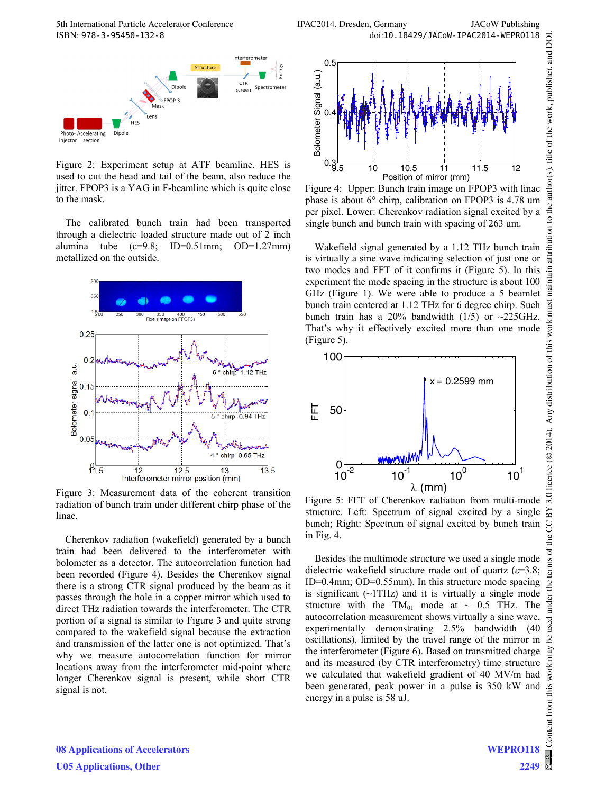

Figure 2: Experiment setup at ATF beamline. HES is used to cut the head and tail of the beam, also reduce the jitter. FPOP3 is a YAG in F-beamline which is quite close to the mask.

The calibrated bunch train had been transported through a dielectric loaded structure made out of 2 inch alumina tube  $(\epsilon=9.8; \text{ID}=0.51 \text{mm}; \text{OD}=1.27 \text{mm})$ metallized on the outside.



Figure 3: Measurement data of the coherent transition radiation of bunch train under different chirp phase of the linac.

Cherenkov radiation (wakefield) generated by a bunch train had been delivered to the interferometer with bolometer as a detector. The autocorrelation function had been recorded (Figure 4). Besides the Cherenkov signal there is a strong CTR signal produced by the beam as it passes through the hole in a copper mirror which used to direct THz radiation towards the interferometer. The CTR portion of a signal is similar to Figure 3 and quite strong compared to the wakefield signal because the extraction and transmission of the latter one is not optimized. That's why we measure autocorrelation function for mirror locations away from the interferometer mid-point where longer Cherenkov signal is present, while short CTR signal is not.



Figure 4: Upper: Bunch train image on FPOP3 with linac phase is about 6° chirp, calibration on FPOP3 is 4.78 um per pixel. Lower: Cherenkov radiation signal excited by a single bunch and bunch train with spacing of 263 um.

Wakefield signal generated by a 1.12 THz bunch train is virtually a sine wave indicating selection of just one or two modes and FFT of it confirms it (Figure 5). In this experiment the mode spacing in the structure is about 100 GHz (Figure 1). We were able to produce a 5 beamlet bunch train centered at 1.12 THz for 6 degree chirp. Such bunch train has a 20% bandwidth (1/5) or  $\sim$ 225GHz. That's why it effectively excited more than one mode (Figure 5).



Figure 5: FFT of Cherenkov radiation from multi-mode structure. Left: Spectrum of signal excited by a single bunch; Right: Spectrum of signal excited by bunch train in Fig. 4.

Besides the multimode structure we used a single mode dielectric wakefield structure made out of quartz ( $\varepsilon$ =3.8; ID=0.4mm; OD=0.55mm). In this structure mode spacing is significant  $(\sim1$ THz) and it is virtually a single mode structure with the  $TM_{01}$  mode at  $\sim$  0.5 THz. The autocorrelation measurement shows virtually a sine wave, experimentally demonstrating 2.5% bandwidth (40 oscillations), limited by the travel range of the mirror in the interferometer (Figure 6). Based on transmitted charge and its measured (by CTR interferometry) time structure we calculated that wakefield gradient of 40 MV/m had been generated, peak power in a pulse is 350 kW and energy in a pulse is 58 uJ.